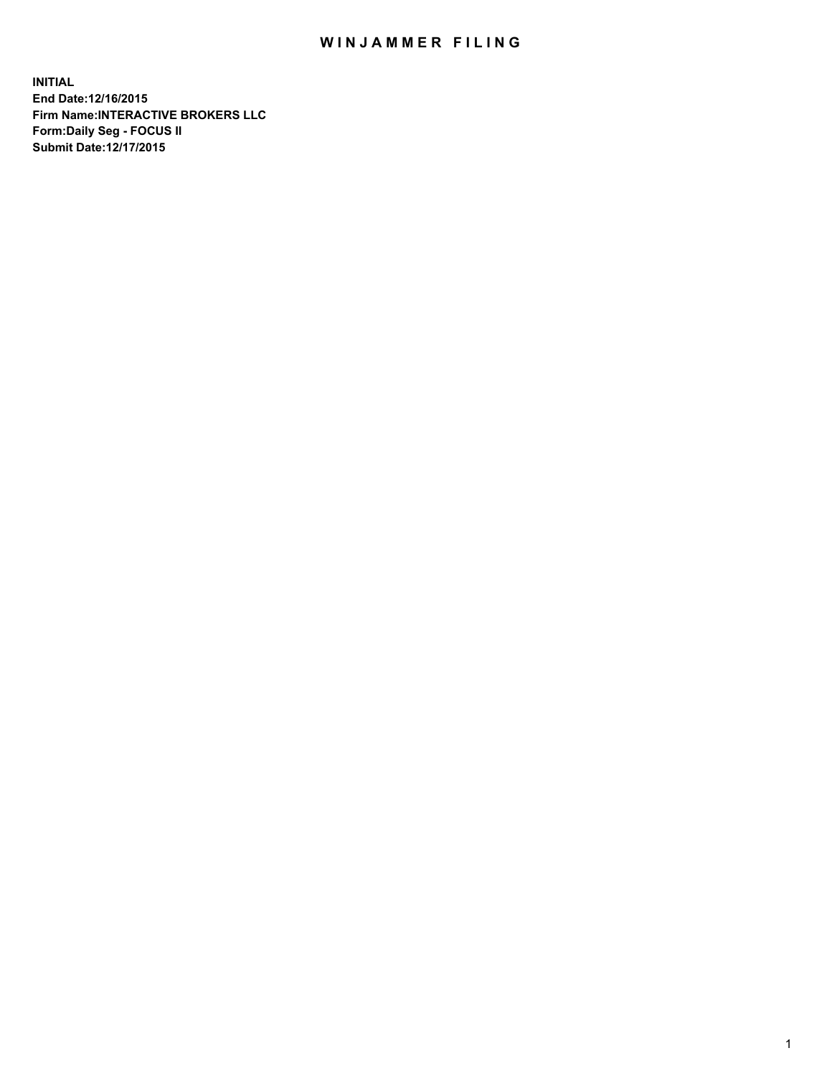## WIN JAMMER FILING

**INITIAL End Date:12/16/2015 Firm Name:INTERACTIVE BROKERS LLC Form:Daily Seg - FOCUS II Submit Date:12/17/2015**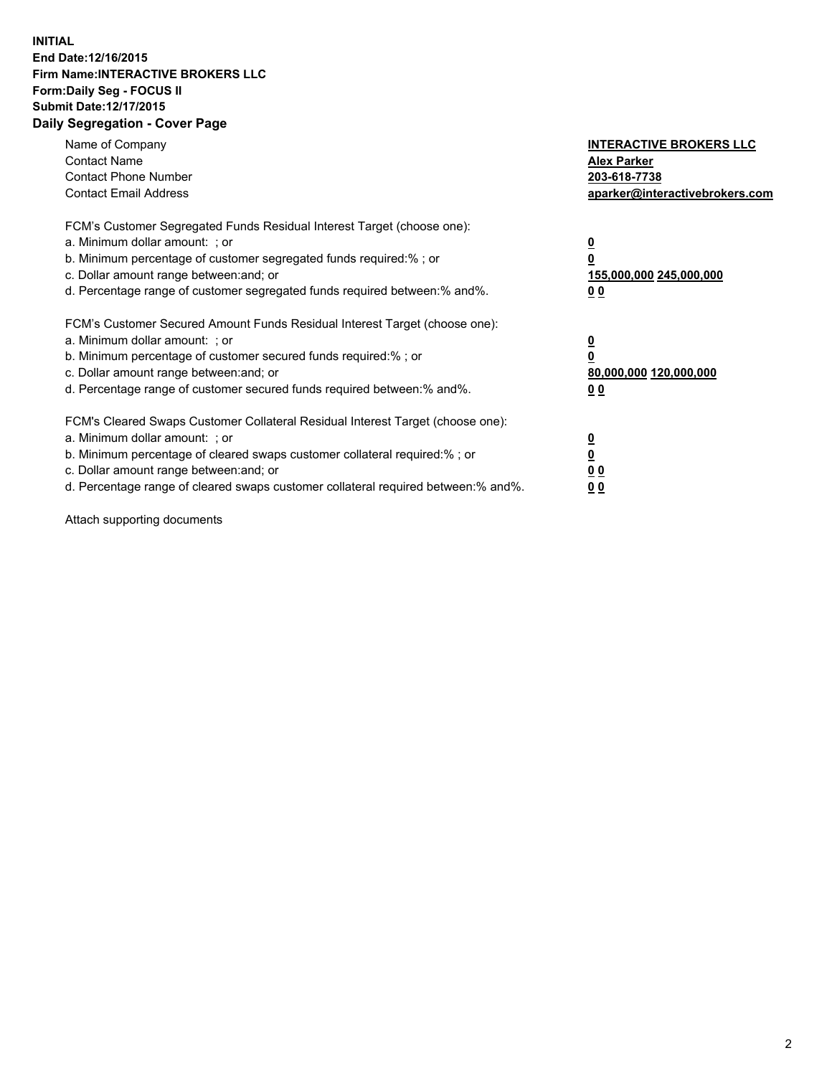## **INITIAL End Date:12/16/2015 Firm Name:INTERACTIVE BROKERS LLC Form:Daily Seg - FOCUS II Submit Date:12/17/2015 Daily Segregation - Cover Page**

| Name of Company<br><b>Contact Name</b><br><b>Contact Phone Number</b><br><b>Contact Email Address</b>                                                                                                                                                                                                                         | <b>INTERACTIVE BROKERS LLC</b><br><b>Alex Parker</b><br>203-618-7738<br>aparker@interactivebrokers.com |
|-------------------------------------------------------------------------------------------------------------------------------------------------------------------------------------------------------------------------------------------------------------------------------------------------------------------------------|--------------------------------------------------------------------------------------------------------|
| FCM's Customer Segregated Funds Residual Interest Target (choose one):<br>a. Minimum dollar amount: ; or<br>b. Minimum percentage of customer segregated funds required:% ; or<br>c. Dollar amount range between: and; or<br>d. Percentage range of customer segregated funds required between:% and%.                        | <u>0</u><br><u>155,000,000 245,000,000</u><br>00                                                       |
| FCM's Customer Secured Amount Funds Residual Interest Target (choose one):<br>a. Minimum dollar amount: ; or<br>b. Minimum percentage of customer secured funds required:% ; or<br>c. Dollar amount range between: and; or<br>d. Percentage range of customer secured funds required between: % and %.                        | $\overline{\mathbf{0}}$<br>80,000,000 120,000,000<br>00                                                |
| FCM's Cleared Swaps Customer Collateral Residual Interest Target (choose one):<br>a. Minimum dollar amount: ; or<br>b. Minimum percentage of cleared swaps customer collateral required:%; or<br>c. Dollar amount range between: and; or<br>d. Percentage range of cleared swaps customer collateral required between:% and%. | <u>0</u><br>0 <sub>0</sub><br><u>00</u>                                                                |

Attach supporting documents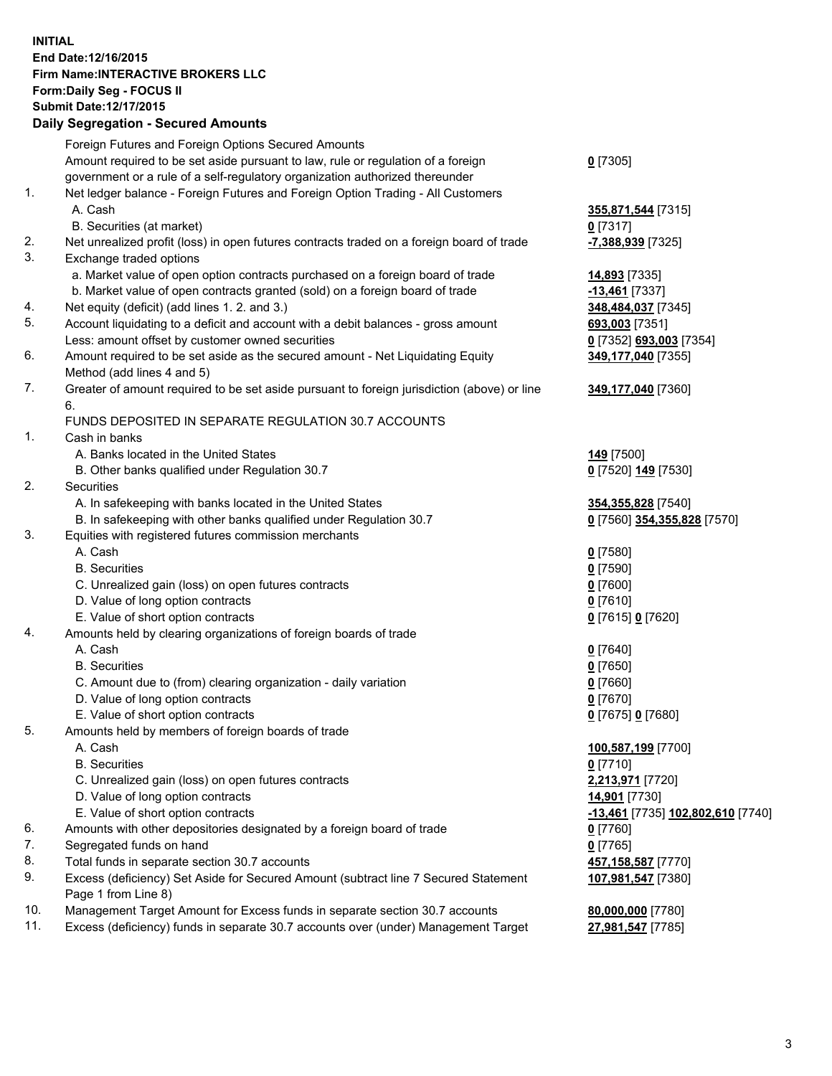## **INITIAL End Date:12/16/2015 Firm Name:INTERACTIVE BROKERS LLC Form:Daily Seg - FOCUS II Submit Date:12/17/2015 Daily Segregation - Secured Amounts**

|     | <b>Dany Ocgregation - Occarea Amounts</b>                                                                  |                                   |
|-----|------------------------------------------------------------------------------------------------------------|-----------------------------------|
|     | Foreign Futures and Foreign Options Secured Amounts                                                        |                                   |
|     | Amount required to be set aside pursuant to law, rule or regulation of a foreign                           | $0$ [7305]                        |
|     | government or a rule of a self-regulatory organization authorized thereunder                               |                                   |
| 1.  | Net ledger balance - Foreign Futures and Foreign Option Trading - All Customers                            |                                   |
|     | A. Cash                                                                                                    | 355,871,544 [7315]                |
|     | B. Securities (at market)                                                                                  | $0$ [7317]                        |
| 2.  | Net unrealized profit (loss) in open futures contracts traded on a foreign board of trade                  | -7,388,939 [7325]                 |
| 3.  | Exchange traded options                                                                                    |                                   |
|     | a. Market value of open option contracts purchased on a foreign board of trade                             | 14,893 [7335]                     |
|     | b. Market value of open contracts granted (sold) on a foreign board of trade                               | -13,461 [7337]                    |
| 4.  | Net equity (deficit) (add lines 1.2. and 3.)                                                               | 348,484,037 [7345]                |
| 5.  | Account liquidating to a deficit and account with a debit balances - gross amount                          | 693,003 [7351]                    |
|     | Less: amount offset by customer owned securities                                                           | 0 [7352] 693,003 [7354]           |
| 6.  | Amount required to be set aside as the secured amount - Net Liquidating Equity                             | 349,177,040 [7355]                |
|     | Method (add lines 4 and 5)                                                                                 |                                   |
| 7.  | Greater of amount required to be set aside pursuant to foreign jurisdiction (above) or line                | 349,177,040 [7360]                |
|     | 6.                                                                                                         |                                   |
|     | FUNDS DEPOSITED IN SEPARATE REGULATION 30.7 ACCOUNTS                                                       |                                   |
| 1.  | Cash in banks                                                                                              |                                   |
|     | A. Banks located in the United States                                                                      | <b>149</b> [7500]                 |
|     | B. Other banks qualified under Regulation 30.7                                                             | 0 [7520] 149 [7530]               |
| 2.  | Securities                                                                                                 |                                   |
|     | A. In safekeeping with banks located in the United States                                                  | 354, 355, 828 [7540]              |
|     | B. In safekeeping with other banks qualified under Regulation 30.7                                         | 0 [7560] 354,355,828 [7570]       |
| 3.  | Equities with registered futures commission merchants                                                      |                                   |
|     | A. Cash                                                                                                    | $0$ [7580]                        |
|     | <b>B.</b> Securities                                                                                       | $0$ [7590]                        |
|     | C. Unrealized gain (loss) on open futures contracts                                                        | $0$ [7600]                        |
|     | D. Value of long option contracts                                                                          | $0$ [7610]                        |
|     | E. Value of short option contracts                                                                         | 0 [7615] 0 [7620]                 |
| 4.  | Amounts held by clearing organizations of foreign boards of trade                                          |                                   |
|     | A. Cash                                                                                                    | $0$ [7640]                        |
|     | <b>B.</b> Securities                                                                                       | $0$ [7650]                        |
|     | C. Amount due to (from) clearing organization - daily variation                                            | $0$ [7660]                        |
|     | D. Value of long option contracts                                                                          | $0$ [7670]                        |
|     | E. Value of short option contracts                                                                         | 0 [7675] 0 [7680]                 |
| 5.  | Amounts held by members of foreign boards of trade                                                         |                                   |
|     | A. Cash                                                                                                    | 100,587,199 [7700]                |
|     | <b>B.</b> Securities                                                                                       | $0$ [7710]                        |
|     | C. Unrealized gain (loss) on open futures contracts                                                        | 2,213,971 [7720]                  |
|     | D. Value of long option contracts                                                                          | 14,901 [7730]                     |
|     | E. Value of short option contracts                                                                         | -13,461 [7735] 102,802,610 [7740] |
| 6.  | Amounts with other depositories designated by a foreign board of trade                                     | $0$ [7760]                        |
| 7.  | Segregated funds on hand                                                                                   | $0$ [7765]                        |
| 8.  | Total funds in separate section 30.7 accounts                                                              | 457,158,587 [7770]                |
| 9.  | Excess (deficiency) Set Aside for Secured Amount (subtract line 7 Secured Statement<br>Page 1 from Line 8) | 107,981,547 [7380]                |
| 10. | Management Target Amount for Excess funds in separate section 30.7 accounts                                | 80,000,000 [7780]                 |
| 11. | Excess (deficiency) funds in separate 30.7 accounts over (under) Management Target                         | 27,981,547 [7785]                 |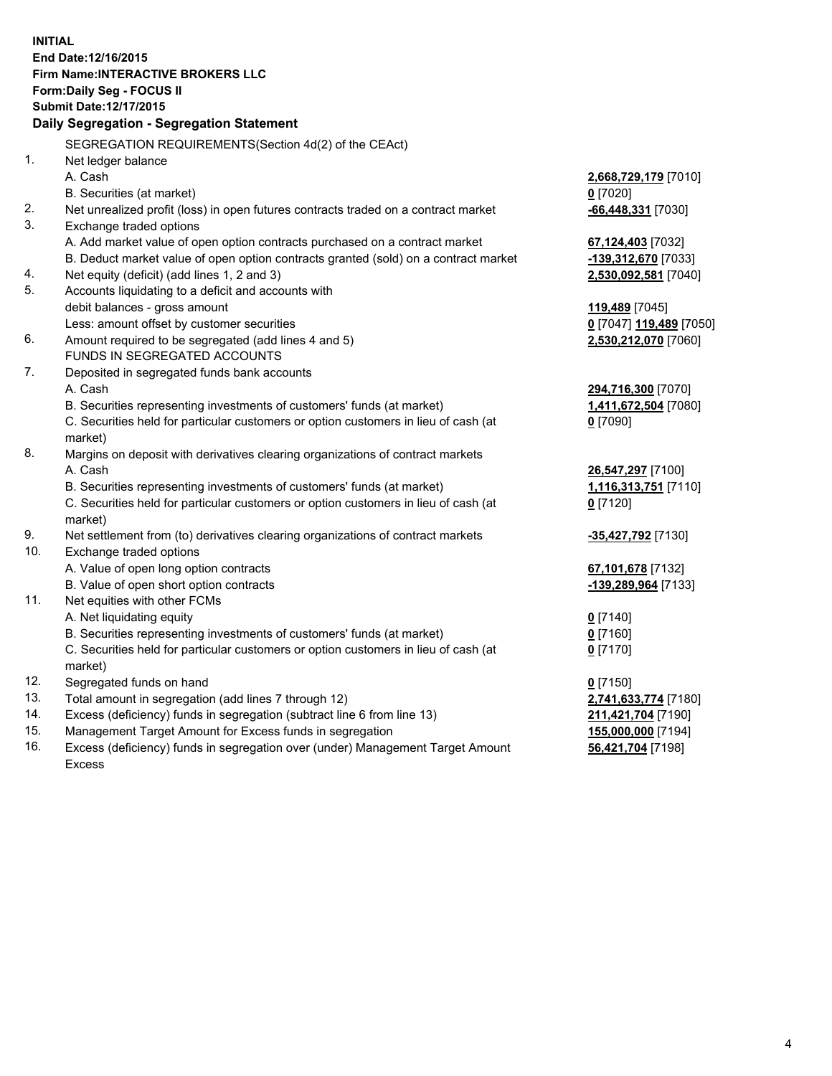**INITIAL End Date:12/16/2015 Firm Name:INTERACTIVE BROKERS LLC Form:Daily Seg - FOCUS II Submit Date:12/17/2015 Daily Segregation - Segregation Statement** SEGREGATION REQUIREMENTS(Section 4d(2) of the CEAct) 1. Net ledger balance A. Cash **2,668,729,179** [7010] B. Securities (at market) **0** [7020] 2. Net unrealized profit (loss) in open futures contracts traded on a contract market **-66,448,331** [7030] 3. Exchange traded options A. Add market value of open option contracts purchased on a contract market **67,124,403** [7032] B. Deduct market value of open option contracts granted (sold) on a contract market **-139,312,670** [7033] 4. Net equity (deficit) (add lines 1, 2 and 3) **2,530,092,581** [7040] 5. Accounts liquidating to a deficit and accounts with debit balances - gross amount **119,489** [7045] Less: amount offset by customer securities **0** [7047] **119,489** [7050] 6. Amount required to be segregated (add lines 4 and 5) **2,530,212,070** [7060] FUNDS IN SEGREGATED ACCOUNTS 7. Deposited in segregated funds bank accounts A. Cash **294,716,300** [7070] B. Securities representing investments of customers' funds (at market) **1,411,672,504** [7080] C. Securities held for particular customers or option customers in lieu of cash (at market) **0** [7090] 8. Margins on deposit with derivatives clearing organizations of contract markets A. Cash **26,547,297** [7100] B. Securities representing investments of customers' funds (at market) **1,116,313,751** [7110] C. Securities held for particular customers or option customers in lieu of cash (at market) **0** [7120] 9. Net settlement from (to) derivatives clearing organizations of contract markets **-35,427,792** [7130] 10. Exchange traded options A. Value of open long option contracts **67,101,678** [7132] B. Value of open short option contracts **-139,289,964** [7133] 11. Net equities with other FCMs A. Net liquidating equity **0** [7140] B. Securities representing investments of customers' funds (at market) **0** [7160] C. Securities held for particular customers or option customers in lieu of cash (at market) **0** [7170] 12. Segregated funds on hand **0** [7150] 13. Total amount in segregation (add lines 7 through 12) **2,741,633,774** [7180] 14. Excess (deficiency) funds in segregation (subtract line 6 from line 13) **211,421,704** [7190] 15. Management Target Amount for Excess funds in segregation **155,000,000** [7194] **56,421,704** [7198]

16. Excess (deficiency) funds in segregation over (under) Management Target Amount Excess